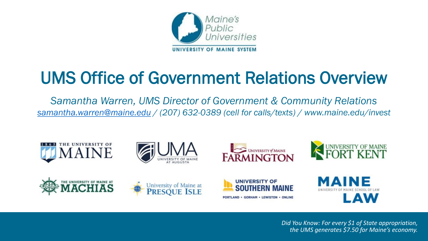

# UMS Office of Government Relations Overview

*Samantha Warren, UMS Director of Government & Community Relations [samantha.warren@maine.edu](mailto:samantha.warren@maine.edu) / (207) 632-0389 (cell for calls/texts) / www.maine.edu/invest*

















*Did You Know: For every \$1 of State appropriation, the UMS generates \$7.50 for Maine's economy.*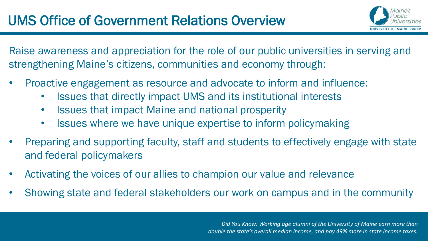

Raise awareness and appreciation for the role of our public universities in serving and strengthening Maine's citizens, communities and economy through:

- Proactive engagement as resource and advocate to inform and influence:
	- Issues that directly impact UMS and its institutional interests
	- Issues that impact Maine and national prosperity
	- Issues where we have unique expertise to inform policymaking
- Preparing and supporting faculty, staff and students to effectively engage with state and federal policymakers
- Activating the voices of our allies to champion our value and relevance
- Showing state and federal stakeholders our work on campus and in the community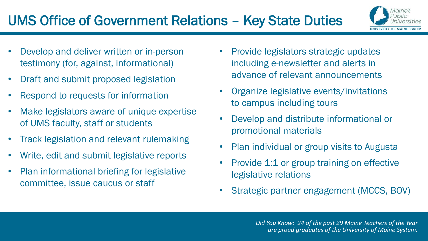- Develop and deliver written or in-person testimony (for, against, informational)
- Draft and submit proposed legislation
- Respond to requests for information
- Make legislators aware of unique expertise of UMS faculty, staff or students
- Track legislation and relevant rulemaking
- Write, edit and submit legislative reports
- Plan informational briefing for legislative committee, issue caucus or staff
- Provide legislators strategic updates including e-newsletter and alerts in advance of relevant announcements
- Organize legislative events/invitations to campus including tours
- Develop and distribute informational or promotional materials
- Plan individual or group visits to Augusta
- Provide 1:1 or group training on effective legislative relations
- Strategic partner engagement (MCCS, BOV)

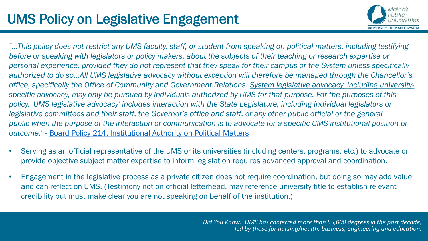

"...This policy does not restrict any UMS faculty, staff, or student from speaking on political matters, including testifying *before or speaking with legislators or policy makers, about the subjects of their teaching or research expertise or personal experience, provided they do not represent that they speak for their campus or the System unless specifically authorized to do so…All UMS legislative advocacy without exception will therefore be managed through the Chancellor's office, specifically the Office of Community and Government Relations. System legislative advocacy, including universityspecific advocacy, may only be pursued by individuals authorized by UMS for that purpose. For the purposes of this policy, 'UMS legislative advocacy' includes interaction with the State Legislature, including individual legislators or legislative committees and their staff, the Governor's office and staff, or any other public official or the general public when the purpose of the interaction or communication is to advocate for a specific UMS institutional position or outcome."* - [Board Policy 214, Institutional Authority on Political Matters](http://www.maine.edu/about-the-system/board-of-trustees/policy-manual/about-the-systemboard-of-trusteespolicy-manualsection214/) 

- Serving as an official representative of the UMS or its universities (including centers, programs, etc.) to advocate or provide objective subject matter expertise to inform legislation requires advanced approval and coordination.
- Engagement in the legislative process as a private citizen does not require coordination, but doing so may add value and can reflect on UMS. (Testimony not on official letterhead, may reference university title to establish relevant credibility but must make clear you are not speaking on behalf of the institution.)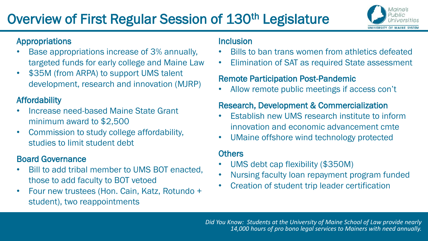# Overview of First Regular Session of 130<sup>th</sup> Legislature



#### Appropriations

- Base appropriations increase of 3% annually, targeted funds for early college and Maine Law
- \$35M (from ARPA) to support UMS talent development, research and innovation (MJRP)

#### Affordability

- Increase need-based Maine State Grant minimum award to \$2,500
- Commission to study college affordability, studies to limit student debt

#### Board Governance

- Bill to add tribal member to UMS BOT enacted, those to add faculty to BOT vetoed
- Four new trustees (Hon. Cain, Katz, Rotundo + student), two reappointments

#### Inclusion

- Bills to ban trans women from athletics defeated
- Elimination of SAT as required State assessment

#### Remote Participation Post-Pandemic

• Allow remote public meetings if access con't

#### Research, Development & Commercialization

- Establish new UMS research institute to inform innovation and economic advancement cmte
- UMaine offshore wind technology protected

#### **Others**

- UMS debt cap flexibility (\$350M)
- Nursing faculty loan repayment program funded
- Creation of student trip leader certification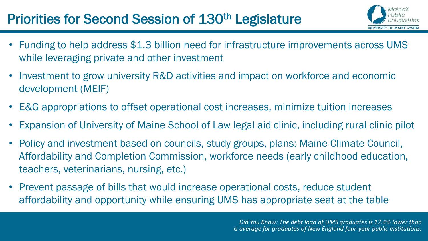## Priorities for Second Session of 130<sup>th</sup> Legislature



- Funding to help address \$1.3 billion need for infrastructure improvements across UMS while leveraging private and other investment
- Investment to grow university R&D activities and impact on workforce and economic development (MEIF)
- E&G appropriations to offset operational cost increases, minimize tuition increases
- Expansion of University of Maine School of Law legal aid clinic, including rural clinic pilot
- Policy and investment based on councils, study groups, plans: Maine Climate Council, Affordability and Completion Commission, workforce needs (early childhood education, teachers, veterinarians, nursing, etc.)
- Prevent passage of bills that would increase operational costs, reduce student affordability and opportunity while ensuring UMS has appropriate seat at the table